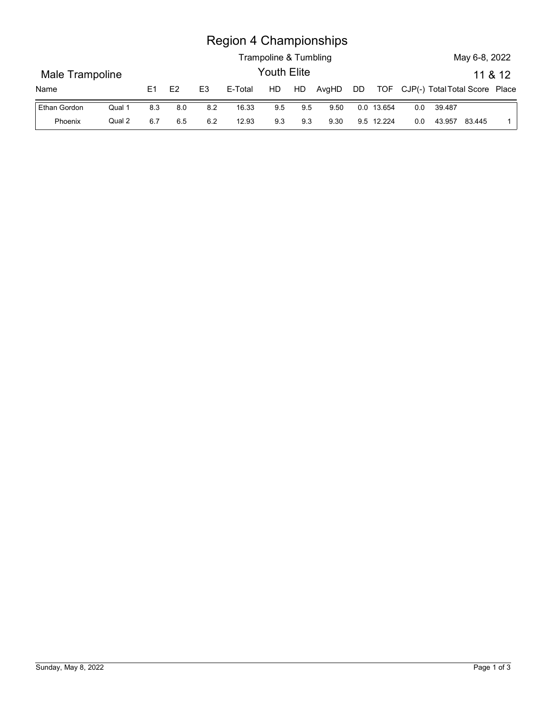## Region 4 Championships

|                 |        |     |         |                | <b>Region 4 Championships</b> |                       |     |       |    |            |                                    |        |               |         |
|-----------------|--------|-----|---------|----------------|-------------------------------|-----------------------|-----|-------|----|------------|------------------------------------|--------|---------------|---------|
|                 |        |     |         |                |                               | Trampoline & Tumbling |     |       |    |            |                                    |        | May 6-8, 2022 |         |
| Male Trampoline |        |     |         |                |                               | Youth Elite           |     |       |    |            |                                    |        |               | 11 & 12 |
| Name            |        | E1  | E2      | E <sub>3</sub> | E-Total                       | HD                    | HD  | AvgHD | DD |            | TOF CJP(-) Total Total Score Place |        |               |         |
| Ethan Gordon    | Qual 1 | 8.3 | $8.0\,$ | 8.2            | 16.33                         | 9.5                   | 9.5 | 9.50  |    | 0.0 13.654 | 0.0                                | 39.487 |               |         |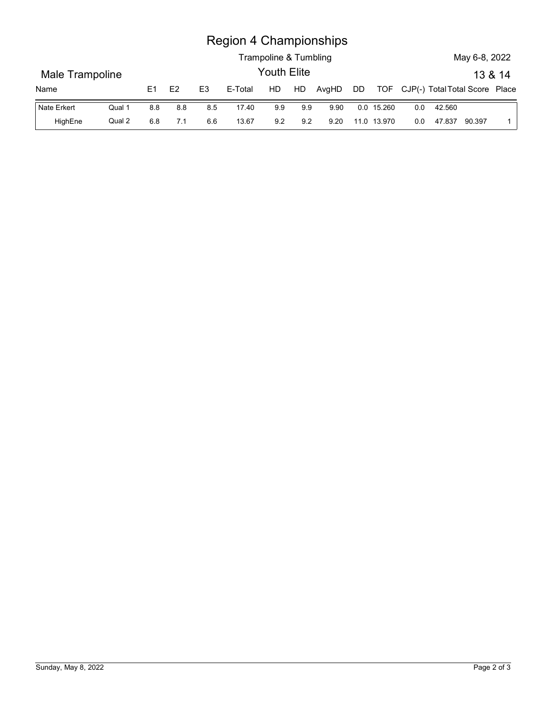## Region 4 Championships

|                         |        |     |     |                | <b>Region 4 Championships</b> | Trampoline & Tumbling |     |       |    |            |                                    |        | May 6-8, 2022 |         |
|-------------------------|--------|-----|-----|----------------|-------------------------------|-----------------------|-----|-------|----|------------|------------------------------------|--------|---------------|---------|
|                         |        |     |     |                |                               | Youth Elite           |     |       |    |            |                                    |        |               | 13 & 14 |
| Male Trampoline<br>Name |        | E1  | E2  | E <sub>3</sub> | E-Total                       | HD                    | HD  | AvgHD | DD |            | TOF CJP(-) Total Total Score Place |        |               |         |
| Nate Erkert             | Qual 1 | 8.8 | 8.8 | 8.5            | 17.40                         | 9.9                   | 9.9 | 9.90  |    | 0.0 15.260 | 0.0                                | 42.560 |               |         |